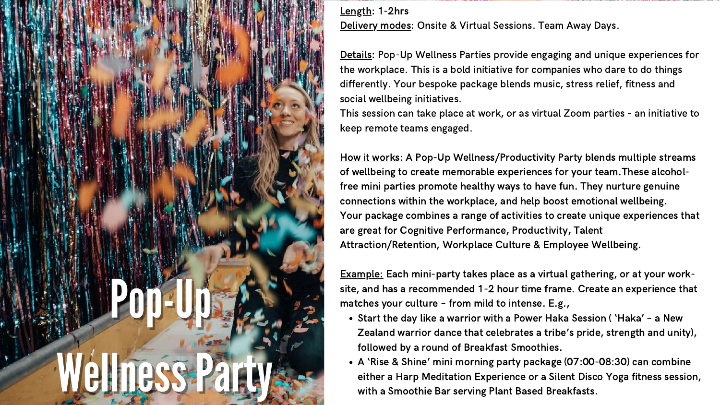

Length: 1-2hrs Delivery modes: Onsite & Virtual Sessions. Team Away Days.

Start the day like a warrior with a Power Haka Session ( 'Haka' – a New Zealand warrior dance that celebrates a tribe's pride, strength and unity), followed by a round of Breakfast Smoothies.

A 'Rise & Shine' mini morning party package (07:00-08:30) can combine either a Harp Meditation Experience or a Silent Disco Yoga fitness session, with a Smoothie Bar serving Plant Based Breakfasts.

Details: Pop-Up Wellness Parties provide engaging and unique experiences for the workplace. This is a bold initiative for companies who dare to do things differently. Your bespoke package blends music, stress relief, fitness and social wellbeing initiatives. This session can take place at work, or as virtual Zoom parties - an initiative to keep remote teams engaged.

How it works: A Pop-Up Wellness/Productivity Party blends multiple streams of wellbeing to create memorable experiences for your team.These alcoholfree mini parties promote healthy ways to have fun. They nurture genuine connections within the workplace, and help boost emotional wellbeing. Your package combines a range of activities to create unique experiences that are great for Cognitive Performance, Productivity, Talent Attraction/Retention, Workplace Culture & Employee Wellbeing.

Example: Each mini-party takes place as a virtual gathering, or at your worksite, and has a recommended 1-2 hour time frame. Create an experience that matches your culture – from mild to intense. E.g.,

- 
-